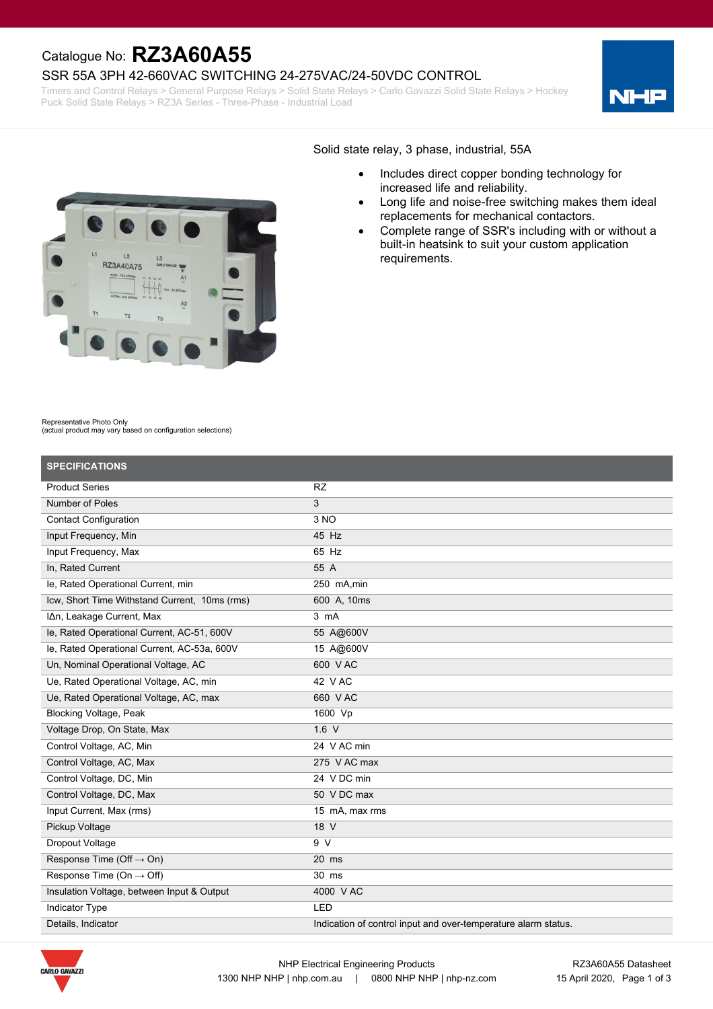## Catalogue No: **RZ3A60A55**

#### SSR 55A 3PH 42-660VAC SWITCHING 24-275VAC/24-50VDC CONTROL

Timers and Control Relays > General Purpose Relays > Solid State Relays > Carlo Gavazzi Solid State Relays > Hockey Puck Solid State Relays > RZ3A Series - Three-Phase - Industrial Load





#### Solid state relay, 3 phase, industrial, 55A

- · Includes direct copper bonding technology for increased life and reliability.
- · Long life and noise-free switching makes them ideal replacements for mechanical contactors.
- Complete range of SSR's including with or without a built-in heatsink to suit your custom application requirements.

#### Representative Photo Only

(actual product may vary based on configuration selections)

| <b>SPECIFICATIONS</b>                         |                                                                |
|-----------------------------------------------|----------------------------------------------------------------|
| <b>Product Series</b>                         | <b>RZ</b>                                                      |
| Number of Poles                               | 3                                                              |
| <b>Contact Configuration</b>                  | 3 NO                                                           |
| Input Frequency, Min                          | 45 Hz                                                          |
| Input Frequency, Max                          | 65 Hz                                                          |
| In, Rated Current                             | 55 A                                                           |
| le, Rated Operational Current, min            | 250 mA.min                                                     |
| Icw, Short Time Withstand Current, 10ms (rms) | 600 A, 10ms                                                    |
| IAn, Leakage Current, Max                     | 3 mA                                                           |
| le, Rated Operational Current, AC-51, 600V    | 55 A@600V                                                      |
| le, Rated Operational Current, AC-53a, 600V   | 15 A@600V                                                      |
| Un, Nominal Operational Voltage, AC           | 600 VAC                                                        |
| Ue, Rated Operational Voltage, AC, min        | 42 V AC                                                        |
| Ue, Rated Operational Voltage, AC, max        | 660 VAC                                                        |
| <b>Blocking Voltage, Peak</b>                 | 1600 Vp                                                        |
| Voltage Drop, On State, Max                   | 1.6 V                                                          |
| Control Voltage, AC, Min                      | 24 V AC min                                                    |
| Control Voltage, AC, Max                      | 275 V AC max                                                   |
| Control Voltage, DC, Min                      | 24 V DC min                                                    |
| Control Voltage, DC, Max                      | 50 V DC max                                                    |
| Input Current, Max (rms)                      | 15 mA, max rms                                                 |
| Pickup Voltage                                | 18 V                                                           |
| Dropout Voltage                               | 9V                                                             |
| Response Time (Off $\rightarrow$ On)          | $20$ ms                                                        |
| Response Time (On $\rightarrow$ Off)          | 30 ms                                                          |
| Insulation Voltage, between Input & Output    | 4000 V AC                                                      |
| <b>Indicator Type</b>                         | LED                                                            |
| Details, Indicator                            | Indication of control input and over-temperature alarm status. |

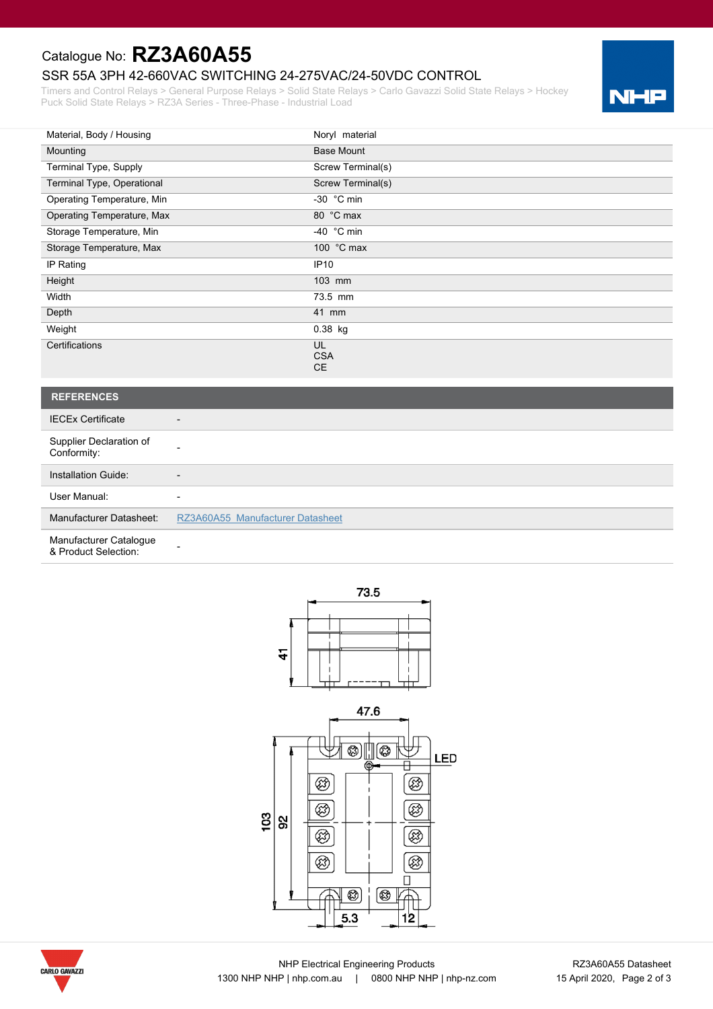# Catalogue No: **RZ3A60A55**

## SSR 55A 3PH 42-660VAC SWITCHING 24-275VAC/24-50VDC CONTROL

Timers and Control Relays > General Purpose Relays > Solid State Relays > Carlo Gavazzi Solid State Relays > Hockey Puck Solid State Relays > RZ3A Series - Three-Phase - Industrial Load



| Material, Body / Housing      | Noryl material                       |
|-------------------------------|--------------------------------------|
| Mounting                      | <b>Base Mount</b>                    |
| Terminal Type, Supply         | Screw Terminal(s)                    |
| Terminal Type, Operational    | Screw Terminal(s)                    |
| Operating Temperature, Min    | -30 $^{\circ}$ C min                 |
| Operating Temperature, Max    | 80 °C max                            |
| Storage Temperature, Min      | -40 $^{\circ}$ C min                 |
| Storage Temperature, Max      | 100 °C max                           |
| IP Rating                     | IP10                                 |
| Height                        | 103 mm                               |
| Width                         | 73.5 mm                              |
| Depth                         | 41 mm                                |
| Weight                        | 0.38 kg                              |
| Certifications                | <b>UL</b><br><b>CSA</b><br><b>CE</b> |
|                               |                                      |
| <b>REFERENCES</b>             |                                      |
| <b>IECEx Certificate</b><br>- |                                      |

| Supplier Declaration of<br>Conformity:         |                                  |
|------------------------------------------------|----------------------------------|
| Installation Guide:                            | -                                |
| User Manual:                                   | -                                |
| Manufacturer Datasheet:                        | RZ3A60A55 Manufacturer Datasheet |
| Manufacturer Catalogue<br>& Product Selection: |                                  |